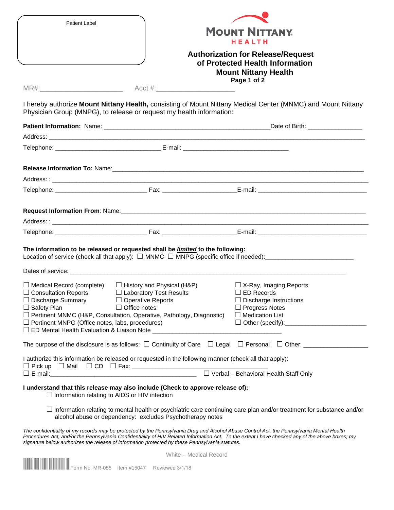| <b>Patient Label</b>                                                                                                                                                                                 |                                                                                                                                                                                                                                              | <b>MOUNT NITTANY.</b><br><b>HEALTH</b><br><b>Authorization for Release/Request</b><br>of Protected Health Information<br><b>Mount Nittany Health</b> |  |  |  |
|------------------------------------------------------------------------------------------------------------------------------------------------------------------------------------------------------|----------------------------------------------------------------------------------------------------------------------------------------------------------------------------------------------------------------------------------------------|------------------------------------------------------------------------------------------------------------------------------------------------------|--|--|--|
|                                                                                                                                                                                                      |                                                                                                                                                                                                                                              |                                                                                                                                                      |  |  |  |
|                                                                                                                                                                                                      |                                                                                                                                                                                                                                              | Page 1 of 2                                                                                                                                          |  |  |  |
|                                                                                                                                                                                                      | Physician Group (MNPG), to release or request my health information:                                                                                                                                                                         | I hereby authorize Mount Nittany Health, consisting of Mount Nittany Medical Center (MNMC) and Mount Nittany                                         |  |  |  |
|                                                                                                                                                                                                      |                                                                                                                                                                                                                                              |                                                                                                                                                      |  |  |  |
|                                                                                                                                                                                                      |                                                                                                                                                                                                                                              |                                                                                                                                                      |  |  |  |
|                                                                                                                                                                                                      | Telephone: E-mail: E-mail:                                                                                                                                                                                                                   |                                                                                                                                                      |  |  |  |
|                                                                                                                                                                                                      |                                                                                                                                                                                                                                              |                                                                                                                                                      |  |  |  |
|                                                                                                                                                                                                      |                                                                                                                                                                                                                                              |                                                                                                                                                      |  |  |  |
|                                                                                                                                                                                                      |                                                                                                                                                                                                                                              |                                                                                                                                                      |  |  |  |
|                                                                                                                                                                                                      |                                                                                                                                                                                                                                              |                                                                                                                                                      |  |  |  |
|                                                                                                                                                                                                      | The information to be released or requested shall be <i>limited</i> to the following:                                                                                                                                                        |                                                                                                                                                      |  |  |  |
|                                                                                                                                                                                                      | Dates of service: example and the service of the service of the service of the service of service:                                                                                                                                           |                                                                                                                                                      |  |  |  |
| $\Box$ Medical Record (complete)<br>$\Box$ Consultation Reports<br>$\Box$ Discharge Summary $\Box$ Operative Reports<br>$\Box$ Safety Plan<br>$\Box$ Pertinent MNPG (Office notes, labs, procedures) | $\Box$ History and Physical (H&P)<br>$\Box$ Laboratory Test Results<br>$\Box$ Office notes<br>□ Pertinent MNMC (H&P, Consultation, Operative, Pathology, Diagnostic)                                                                         | $\Box$ X-Ray, Imaging Reports<br>$\Box$ ED Records<br>$\Box$ Discharge Instructions<br>$\Box$ Progress Notes<br>$\Box$ Medication List               |  |  |  |
|                                                                                                                                                                                                      |                                                                                                                                                                                                                                              | The purpose of the disclosure is as follows: $\Box$ Continuity of Care $\Box$ Legal $\Box$ Personal $\Box$ Other:                                    |  |  |  |
|                                                                                                                                                                                                      | I authorize this information be released or requested in the following manner (check all that apply):                                                                                                                                        |                                                                                                                                                      |  |  |  |
| $\Box$ Information relating to AIDS or HIV infection                                                                                                                                                 | I understand that this release may also include (Check to approve release of):                                                                                                                                                               |                                                                                                                                                      |  |  |  |
|                                                                                                                                                                                                      | alcohol abuse or dependency: excludes Psychotherapy notes                                                                                                                                                                                    | $\Box$ Information relating to mental health or psychiatric care continuing care plan and/or treatment for substance and/or                          |  |  |  |
|                                                                                                                                                                                                      | The confidentiality of my records may be protected by the Pennsylvania Drug and Alcohol Abuse Control Act, the Pennsylvania Mental Health<br>signature below authorizes the release of information protected by these Pennsylvania statutes. | Procedures Act, and/or the Pennsylvania Confidentiality of HIV Related Information Act. To the extent I have checked any of the above boxes; my      |  |  |  |

White – Medical Record